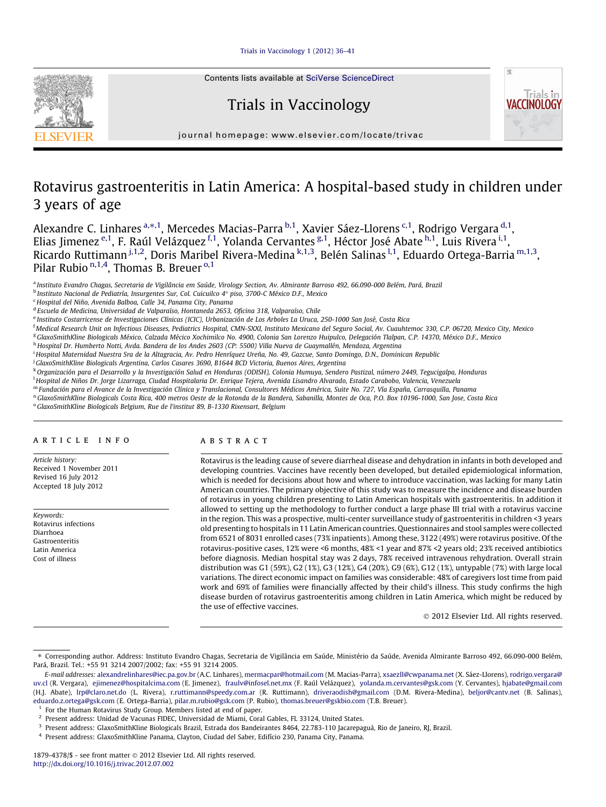[Trials in Vaccinology 1 \(2012\) 36–41](http://dx.doi.org/10.1016/j.trivac.2012.07.002)



Contents lists available at [SciVerse ScienceDirect](http://www.sciencedirect.com/science/journal/18794378)

# Trials in Vaccinology



journal homepage: [www.elsevier.com/locate/trivac](http://www.elsevier.com/locate/trivac)

## Rotavirus gastroenteritis in Latin America: A hospital-based study in children under 3 years of age

Alexandre C. Linhares <sup>a,</sup>\*,<sup>1</sup>, Mercedes Macias-Parra <sup>b,1</sup>, Xavier Sáez-Llorens <sup>c,1</sup>, Rodrigo Vergara <sup>d,1</sup>, Elias Jimenez <sup>e,1</sup>, F. Raúl Velázquez <sup>f,1</sup>, Yolanda Cervantes <sup>g,1</sup>, Héctor José Abate <sup>h,1</sup>, Luis Rivera <sup>i,1</sup>, Ricardo Ruttimann<sup> j,1,2</sup>, Doris Maribel Rivera-Medina <sup>k,1,3</sup>, Belén Salinas <sup>l,1</sup>, Eduardo Ortega-Barria <sup>m,1,3</sup>, Pilar Rubio <sup>n,1,4</sup>, Thomas B. Breuer <sup>0,1</sup>

<sup>a</sup> Instituto Evandro Chagas, Secretaria de Vigilância em Saúde, Virology Section, Av. Almirante Barroso 492, 66.090-000 Belém, Pará, Brazil

<sup>c</sup> Hospital del Niño, Avenida Balboa, Calle 34, Panama City, Panama

<sup>d</sup> Escuela de Medicina, Universidad de Valparaíso, Hontaneda 2653, Oficina 318, Valparaíso, Chile

<sup>e</sup> Instituto Costarricense de Investigaciones Clínicas (ICIC), Urbanización de Los Arboles La Uruca, 250-1000 San José, Costa Rica

<sup>f</sup> Medical Research Unit on Infectious Diseases, Pediatrics Hospital, CMN-SXXI, Instituto Mexicano del Seguro Social, Av. Cuauhtemoc 330, C.P. 06720, Mexico City, Mexico

<sup>g</sup> GlaxoSmithKline Biologicals México, Calzada Mécico Xochimilco No. 4900, Colonia San Lorenzo Huipulco, Delegación Tlalpan, C.P. 14370, México D.F., Mexico

h Hospital Dr. Humberto Notti, Avda. Bandera de los Andes 2603 (CP: 5500) Villa Nueva de Guaymallén, Mendoza, Argentina

i Hospital Maternidad Nuestra Sra de la Altagracia, Av. Pedro Henríquez Ureña, No. 49, Gazcue, Santo Domingo, D.N., Dominican Republic

j GlaxoSmithKline Biologicals Argentina, Carlos Casares 3690, B1644 BCD Victoria, Buenos Aires, Argentina

k Organización para el Desarrollo y la Investigación Salud en Honduras (ODISH), Colonia Humuya, Sendero Pastizal, número 2449, Tegucigalpa, Honduras

l Hospital de Niños Dr. Jorge Lizarraga, Ciudad Hospitalaria Dr. Enrique Tejera, Avenida Lisandro Alvarado, Estado Carabobo, Valencia, Venezuela

<sup>m</sup> Fundación para el Avance de la Investigación Clínica y Translacional, Consultores Médicos América, Suite No. 727, Vía España, Carrasquilla, Panama

n GlaxoSmithKline Biologicals Costa Rica, 400 metros Oeste de la Rotonda de la Bandera, Sabanilla, Montes de Oca, P.O. Box 10196-1000, San Jose, Costa Rica

<sup>o</sup> GlaxoSmithKline Biologicals Belgium, Rue de l'institut 89, B-1330 Rixensart, Belgium

## article info

Article history: Received 1 November 2011 Revised 16 July 2012 Accepted 18 July 2012

Keywords: Rotavirus infections Diarrhoea Gastroenteritis Latin America Cost of illness

## ABSTRACT

Rotavirus is the leading cause of severe diarrheal disease and dehydration in infants in both developed and developing countries. Vaccines have recently been developed, but detailed epidemiological information, which is needed for decisions about how and where to introduce vaccination, was lacking for many Latin American countries. The primary objective of this study was to measure the incidence and disease burden of rotavirus in young children presenting to Latin American hospitals with gastroenteritis. In addition it allowed to setting up the methodology to further conduct a large phase III trial with a rotavirus vaccine in the region. This was a prospective, multi-center surveillance study of gastroenteritis in children <3 years old presenting to hospitals in 11 Latin American countries. Questionnaires and stool samples were collected from 6521 of 8031 enrolled cases (73% inpatients). Among these, 3122 (49%) were rotavirus positive. Of the rotavirus-positive cases, 12% were <6 months, 48% <1 year and 87% <2 years old; 23% received antibiotics before diagnosis. Median hospital stay was 2 days, 78% received intravenous rehydration. Overall strain distribution was G1 (59%), G2 (1%), G3 (12%), G4 (20%), G9 (6%), G12 (1%), untypable (7%) with large local variations. The direct economic impact on families was considerable: 48% of caregivers lost time from paid work and 69% of families were financially affected by their child's illness. This study confirms the high disease burden of rotavirus gastroenteritis among children in Latin America, which might be reduced by the use of effective vaccines.

2012 Elsevier Ltd. All rights reserved.

For the Human Rotavirus Study Group. Members listed at end of paper.

 $^{\rm b}$ Instituto Nacional de Pediatría, Insurgentes Sur, Col. Cuicuilco 4° piso, 3700-C México D.F., Mexico

<sup>⇑</sup> Corresponding author. Address: Instituto Evandro Chagas, Secretaria de Vigilância em Saúde, Ministério da Saúde, Avenida Almirante Barroso 492, 66.090-000 Belém, Pará, Brazil. Tel.: +55 91 3214 2007/2002; fax: +55 91 3214 2005.

E-mail addresses: [alexandrelinhares@iec.pa.gov.br](mailto:alexandrelinhares@iec.pa.gov.br) (A.C. Linhares), [mermacpar@hotmail.com](mailto:mermacpar@hotmail.com) (M. Macias-Parra), [xsaezll@cwpanama.net](mailto:xsaezll@cwpanama.net) (X. Sáez-Llorens), [rodrigo.vergara@](mailto:rodrigo.vergara@uv.cl) [uv.cl](mailto:rodrigo.vergara@uv.cl) (R. Vergara), [ejimenez@hospitalcima.com](mailto:ejimenez@hospitalcima.com) (E. Jimenez), [fraulv@infosel.net.mx](mailto:fraulv@infosel.net.mx) (F. Raúl Velázquez), [yolanda.m.cervantes@gsk.com](mailto:yolanda.m.cervantes@gsk.com) (Y. Cervantes), [hjabate@gmail.com](mailto:hjabate@gmail.com) (H.J. Abate), [lrp@claro.net.do](mailto:lrp@claro.net.do) (L. Rivera), [r.ruttimann@speedy.com.ar](mailto:r.ruttimann@speedy.com.ar) (R. Ruttimann), [driveraodish@gmail.com](mailto:driveraodish@gmail.com) (D.M. Rivera-Medina), [beljor@cantv.net](mailto:beljor@cantv.net) (B. Salinas), [eduardo.z.ortega@gsk.com](mailto:eduardo.z.ortega@gsk.com) (E. Ortega-Barria), [pilar.m.rubio@gsk.com](mailto:pilar.m.rubio@gsk.com) (P. Rubio), [thomas.breuer@gskbio.com](mailto:thomas.breuer@gskbio.com) (T.B. Breuer).

<sup>2</sup> Present address: Unidad de Vacunas FIDEC, Universidad de Miami, Coral Gables, FL 33124, United States.

<sup>&</sup>lt;sup>3</sup> Present address: GlaxoSmithKline Biologicals Brazil, Estrada dos Bandeirantes 8464, 22.783-110 Jacarepaguá, Rio de Janeiro, RJ, Brazil.

<sup>4</sup> Present address: GlaxoSmithKline Panama, Clayton, Ciudad del Saber, Edifício 230, Panama City, Panama.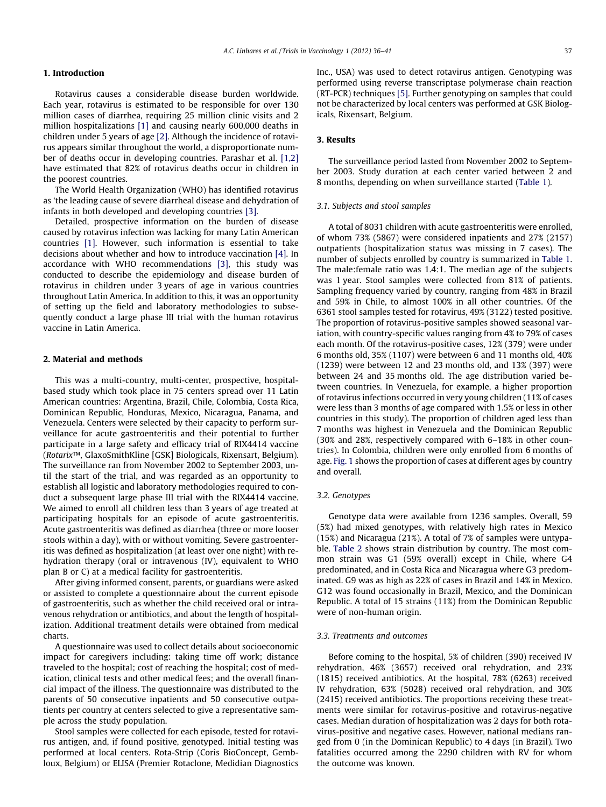## 1. Introduction

Rotavirus causes a considerable disease burden worldwide. Each year, rotavirus is estimated to be responsible for over 130 million cases of diarrhea, requiring 25 million clinic visits and 2 million hospitalizations [\[1\]](#page-4-0) and causing nearly 600,000 deaths in children under 5 years of age [\[2\].](#page-4-0) Although the incidence of rotavirus appears similar throughout the world, a disproportionate number of deaths occur in developing countries. Parashar et al. [\[1,2\]](#page-4-0) have estimated that 82% of rotavirus deaths occur in children in the poorest countries.

The World Health Organization (WHO) has identified rotavirus as 'the leading cause of severe diarrheal disease and dehydration of infants in both developed and developing countries [\[3\]](#page-4-0).

Detailed, prospective information on the burden of disease caused by rotavirus infection was lacking for many Latin American countries [\[1\].](#page-4-0) However, such information is essential to take decisions about whether and how to introduce vaccination [\[4\]](#page-4-0). In accordance with WHO recommendations [\[3\],](#page-4-0) this study was conducted to describe the epidemiology and disease burden of rotavirus in children under 3 years of age in various countries throughout Latin America. In addition to this, it was an opportunity of setting up the field and laboratory methodologies to subsequently conduct a large phase III trial with the human rotavirus vaccine in Latin America.

## 2. Material and methods

This was a multi-country, multi-center, prospective, hospitalbased study which took place in 75 centers spread over 11 Latin American countries: Argentina, Brazil, Chile, Colombia, Costa Rica, Dominican Republic, Honduras, Mexico, Nicaragua, Panama, and Venezuela. Centers were selected by their capacity to perform surveillance for acute gastroenteritis and their potential to further participate in a large safety and efficacy trial of RIX4414 vaccine (Rotarix™, GlaxoSmithKline [GSK] Biologicals, Rixensart, Belgium). The surveillance ran from November 2002 to September 2003, until the start of the trial, and was regarded as an opportunity to establish all logistic and laboratory methodologies required to conduct a subsequent large phase III trial with the RIX4414 vaccine. We aimed to enroll all children less than 3 years of age treated at participating hospitals for an episode of acute gastroenteritis. Acute gastroenteritis was defined as diarrhea (three or more looser stools within a day), with or without vomiting. Severe gastroenteritis was defined as hospitalization (at least over one night) with rehydration therapy (oral or intravenous (IV), equivalent to WHO plan B or C) at a medical facility for gastroenteritis.

After giving informed consent, parents, or guardians were asked or assisted to complete a questionnaire about the current episode of gastroenteritis, such as whether the child received oral or intravenous rehydration or antibiotics, and about the length of hospitalization. Additional treatment details were obtained from medical charts.

A questionnaire was used to collect details about socioeconomic impact for caregivers including: taking time off work; distance traveled to the hospital; cost of reaching the hospital; cost of medication, clinical tests and other medical fees; and the overall financial impact of the illness. The questionnaire was distributed to the parents of 50 consecutive inpatients and 50 consecutive outpatients per country at centers selected to give a representative sample across the study population.

Stool samples were collected for each episode, tested for rotavirus antigen, and, if found positive, genotyped. Initial testing was performed at local centers. Rota-Strip (Coris BioConcept, Gembloux, Belgium) or ELISA (Premier Rotaclone, Medidian Diagnostics Inc., USA) was used to detect rotavirus antigen. Genotyping was performed using reverse transcriptase polymerase chain reaction (RT-PCR) techniques [\[5\]](#page-4-0). Further genotyping on samples that could not be characterized by local centers was performed at GSK Biologicals, Rixensart, Belgium.

## 3. Results

The surveillance period lasted from November 2002 to September 2003. Study duration at each center varied between 2 and 8 months, depending on when surveillance started [\(Table 1\)](#page-2-0).

## 3.1. Subjects and stool samples

A total of 8031 children with acute gastroenteritis were enrolled, of whom 73% (5867) were considered inpatients and 27% (2157) outpatients (hospitalization status was missing in 7 cases). The number of subjects enrolled by country is summarized in [Table 1.](#page-2-0) The male:female ratio was 1.4:1. The median age of the subjects was 1 year. Stool samples were collected from 81% of patients. Sampling frequency varied by country, ranging from 48% in Brazil and 59% in Chile, to almost 100% in all other countries. Of the 6361 stool samples tested for rotavirus, 49% (3122) tested positive. The proportion of rotavirus-positive samples showed seasonal variation, with country-specific values ranging from 4% to 79% of cases each month. Of the rotavirus-positive cases, 12% (379) were under 6 months old, 35% (1107) were between 6 and 11 months old, 40% (1239) were between 12 and 23 months old, and 13% (397) were between 24 and 35 months old. The age distribution varied between countries. In Venezuela, for example, a higher proportion of rotavirus infections occurred in very young children (11% of cases were less than 3 months of age compared with 1.5% or less in other countries in this study). The proportion of children aged less than 7 months was highest in Venezuela and the Dominican Republic (30% and 28%, respectively compared with 6–18% in other countries). In Colombia, children were only enrolled from 6 months of age. [Fig. 1](#page-2-0) shows the proportion of cases at different ages by country and overall.

## 3.2. Genotypes

Genotype data were available from 1236 samples. Overall, 59 (5%) had mixed genotypes, with relatively high rates in Mexico (15%) and Nicaragua (21%). A total of 7% of samples were untypable. [Table 2](#page-3-0) shows strain distribution by country. The most common strain was G1 (59% overall) except in Chile, where G4 predominated, and in Costa Rica and Nicaragua where G3 predominated. G9 was as high as 22% of cases in Brazil and 14% in Mexico. G12 was found occasionally in Brazil, Mexico, and the Dominican Republic. A total of 15 strains (11%) from the Dominican Republic were of non-human origin.

#### 3.3. Treatments and outcomes

Before coming to the hospital, 5% of children (390) received IV rehydration, 46% (3657) received oral rehydration, and 23% (1815) received antibiotics. At the hospital, 78% (6263) received IV rehydration, 63% (5028) received oral rehydration, and 30% (2415) received antibiotics. The proportions receiving these treatments were similar for rotavirus-positive and rotavirus-negative cases. Median duration of hospitalization was 2 days for both rotavirus-positive and negative cases. However, national medians ranged from 0 (in the Dominican Republic) to 4 days (in Brazil). Two fatalities occurred among the 2290 children with RV for whom the outcome was known.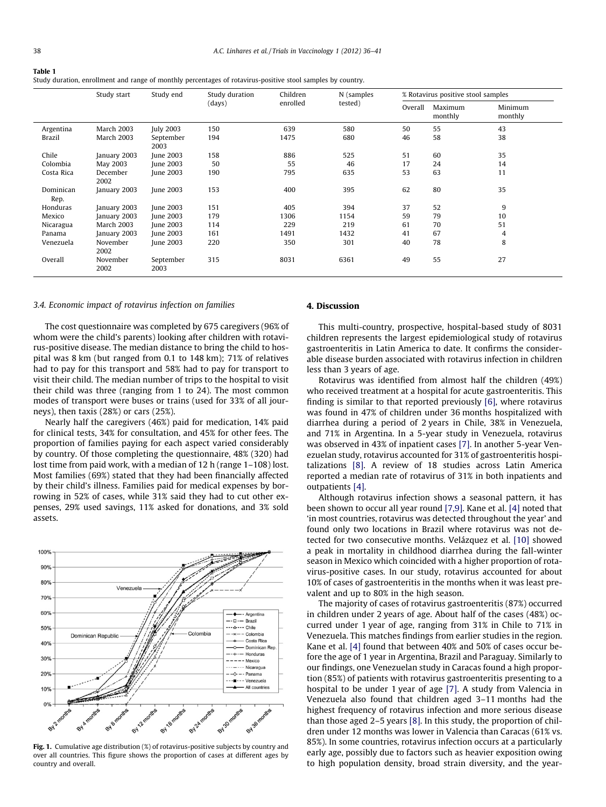<span id="page-2-0"></span>

| Table 1                                                                                                     |
|-------------------------------------------------------------------------------------------------------------|
| Study duration, enrollment and range of monthly percentages of rotavirus-positive stool samples by country. |

|                   | Study start       | Study end         | Study duration<br>(days) | Children | N (samples | % Rotavirus positive stool samples |                    |                    |  |
|-------------------|-------------------|-------------------|--------------------------|----------|------------|------------------------------------|--------------------|--------------------|--|
|                   |                   |                   |                          | enrolled | tested)    | Overall                            | Maximum<br>monthly | Minimum<br>monthly |  |
| Argentina         | <b>March 2003</b> | <b>July 2003</b>  | 150                      | 639      | 580        | 50                                 | 55                 | 43                 |  |
| Brazil            | <b>March 2003</b> | September<br>2003 | 194                      | 1475     | 680        | 46                                 | 58                 | 38                 |  |
| Chile             | January 2003      | June 2003         | 158                      | 886      | 525        | 51                                 | 60                 | 35                 |  |
| Colombia          | May 2003          | June 2003         | 50                       | 55       | 46         | 17                                 | 24                 | 14                 |  |
| Costa Rica        | December<br>2002  | June 2003         | 190                      | 795      | 635        | 53                                 | 63                 | 11                 |  |
| Dominican<br>Rep. | January 2003      | June 2003         | 153                      | 400      | 395        | 62                                 | 80                 | 35                 |  |
| Honduras          | January 2003      | June 2003         | 151                      | 405      | 394        | 37                                 | 52                 | 9                  |  |
| Mexico            | January 2003      | June 2003         | 179                      | 1306     | 1154       | 59                                 | 79                 | 10                 |  |
| Nicaragua         | <b>March 2003</b> | June 2003         | 114                      | 229      | 219        | 61                                 | 70                 | 51                 |  |
| Panama            | January 2003      | June 2003         | 161                      | 1491     | 1432       | 41                                 | 67                 | 4                  |  |
| Venezuela         | November<br>2002  | June 2003         | 220                      | 350      | 301        | 40                                 | 78                 | 8                  |  |
| Overall           | November<br>2002  | September<br>2003 | 315                      | 8031     | 6361       | 49                                 | 55                 | 27                 |  |

#### 3.4. Economic impact of rotavirus infection on families

The cost questionnaire was completed by 675 caregivers (96% of whom were the child's parents) looking after children with rotavirus-positive disease. The median distance to bring the child to hospital was 8 km (but ranged from 0.1 to 148 km); 71% of relatives had to pay for this transport and 58% had to pay for transport to visit their child. The median number of trips to the hospital to visit their child was three (ranging from 1 to 24). The most common modes of transport were buses or trains (used for 33% of all journeys), then taxis (28%) or cars (25%).

Nearly half the caregivers (46%) paid for medication, 14% paid for clinical tests, 34% for consultation, and 45% for other fees. The proportion of families paying for each aspect varied considerably by country. Of those completing the questionnaire, 48% (320) had lost time from paid work, with a median of 12 h (range 1–108) lost. Most families (69%) stated that they had been financially affected by their child's illness. Families paid for medical expenses by borrowing in 52% of cases, while 31% said they had to cut other expenses, 29% used savings, 11% asked for donations, and 3% sold assets.



Fig. 1. Cumulative age distribution (%) of rotavirus-positive subjects by country and over all countries. This figure shows the proportion of cases at different ages by country and overall.

#### 4. Discussion

This multi-country, prospective, hospital-based study of 8031 children represents the largest epidemiological study of rotavirus gastroenteritis in Latin America to date. It confirms the considerable disease burden associated with rotavirus infection in children less than 3 years of age.

Rotavirus was identified from almost half the children (49%) who received treatment at a hospital for acute gastroenteritis. This finding is similar to that reported previously [\[6\]](#page-4-0), where rotavirus was found in 47% of children under 36 months hospitalized with diarrhea during a period of 2 years in Chile, 38% in Venezuela, and 71% in Argentina. In a 5-year study in Venezuela, rotavirus was observed in 43% of inpatient cases [\[7\].](#page-4-0) In another 5-year Venezuelan study, rotavirus accounted for 31% of gastroenteritis hospitalizations [\[8\]](#page-4-0). A review of 18 studies across Latin America reported a median rate of rotavirus of 31% in both inpatients and outpatients [\[4\]](#page-4-0).

Although rotavirus infection shows a seasonal pattern, it has been shown to occur all year round [\[7,9\].](#page-4-0) Kane et al. [\[4\]](#page-4-0) noted that 'in most countries, rotavirus was detected throughout the year' and found only two locations in Brazil where rotavirus was not detected for two consecutive months. Velázquez et al. [\[10\]](#page-4-0) showed a peak in mortality in childhood diarrhea during the fall-winter season in Mexico which coincided with a higher proportion of rotavirus-positive cases. In our study, rotavirus accounted for about 10% of cases of gastroenteritis in the months when it was least prevalent and up to 80% in the high season.

The majority of cases of rotavirus gastroenteritis (87%) occurred in children under 2 years of age. About half of the cases (48%) occurred under 1 year of age, ranging from 31% in Chile to 71% in Venezuela. This matches findings from earlier studies in the region. Kane et al. [\[4\]](#page-4-0) found that between 40% and 50% of cases occur before the age of 1 year in Argentina, Brazil and Paraguay. Similarly to our findings, one Venezuelan study in Caracas found a high proportion (85%) of patients with rotavirus gastroenteritis presenting to a hospital to be under 1 year of age [\[7\]](#page-4-0). A study from Valencia in Venezuela also found that children aged 3–11 months had the highest frequency of rotavirus infection and more serious disease than those aged 2–5 years [\[8\]](#page-4-0). In this study, the proportion of children under 12 months was lower in Valencia than Caracas (61% vs. 85%). In some countries, rotavirus infection occurs at a particularly early age, possibly due to factors such as heavier exposition owing to high population density, broad strain diversity, and the year-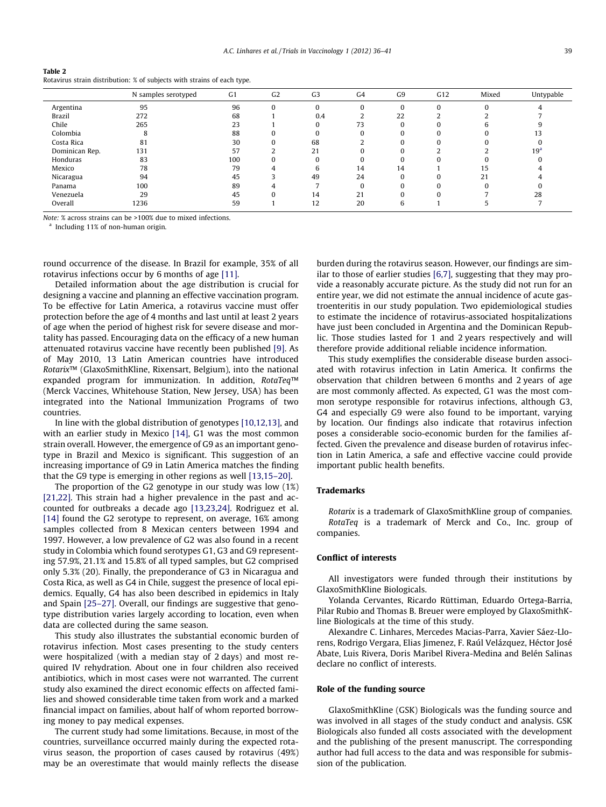<span id="page-3-0"></span>

| Table 2                                                                 |
|-------------------------------------------------------------------------|
| Rotavirus strain distribution: % of subjects with strains of each type. |

|                | N samples serotyped | G <sub>1</sub> | G <sub>2</sub> | G <sub>3</sub> | G <sub>4</sub> | G <sub>9</sub> | G12      | Mixed | Untypable       |
|----------------|---------------------|----------------|----------------|----------------|----------------|----------------|----------|-------|-----------------|
| Argentina      | 95                  | 96             |                | U              |                |                | $\Omega$ |       |                 |
| <b>Brazil</b>  | 272                 | 68             |                | 0.4            |                | 22             |          |       |                 |
| Chile          | 265                 | 23             |                |                | 73             |                |          |       |                 |
| Colombia       | 8                   | 88             |                |                |                |                | O        |       |                 |
| Costa Rica     | 81                  | 30             | 0              | 68             |                |                | $\Omega$ |       |                 |
| Dominican Rep. | 131                 | 57             |                | 21             |                |                |          |       | 19 <sup>a</sup> |
| Honduras       | 83                  | 100            |                |                |                |                | ŋ        |       |                 |
| Mexico         | 78                  | 79             |                | h              | 14             | 14             |          | 15    |                 |
| Nicaragua      | 94                  | 45             |                | 49             | 24             |                |          | 21    |                 |
| Panama         | 100                 | 89             |                |                |                |                | $\Omega$ |       |                 |
| Venezuela      | 29                  | 45             |                | 14             | 21             |                | $\Omega$ |       | 28              |
| Overall        | 1236                | 59             |                | 12             | 20             |                |          |       |                 |

Note: % across strains can be >100% due to mixed infections.

<sup>a</sup> Including 11% of non-human origin.

round occurrence of the disease. In Brazil for example, 35% of all rotavirus infections occur by 6 months of age [\[11\]](#page-5-0).

Detailed information about the age distribution is crucial for designing a vaccine and planning an effective vaccination program. To be effective for Latin America, a rotavirus vaccine must offer protection before the age of 4 months and last until at least 2 years of age when the period of highest risk for severe disease and mortality has passed. Encouraging data on the efficacy of a new human attenuated rotavirus vaccine have recently been published [\[9\].](#page-4-0) As of May 2010, 13 Latin American countries have introduced Rotarix™ (GlaxoSmithKline, Rixensart, Belgium), into the national expanded program for immunization. In addition, RotaTeq™ (Merck Vaccines, Whitehouse Station, New Jersey, USA) has been integrated into the National Immunization Programs of two countries.

In line with the global distribution of genotypes [\[10,12,13\]](#page-4-0), and with an earlier study in Mexico [\[14\]](#page-5-0), G1 was the most common strain overall. However, the emergence of G9 as an important genotype in Brazil and Mexico is significant. This suggestion of an increasing importance of G9 in Latin America matches the finding that the G9 type is emerging in other regions as well [\[13,15–20\].](#page-5-0)

The proportion of the G2 genotype in our study was low (1%) [\[21,22\]](#page-5-0). This strain had a higher prevalence in the past and accounted for outbreaks a decade ago [\[13,23,24\]](#page-5-0). Rodriguez et al. [\[14\]](#page-5-0) found the G2 serotype to represent, on average, 16% among samples collected from 8 Mexican centers between 1994 and 1997. However, a low prevalence of G2 was also found in a recent study in Colombia which found serotypes G1, G3 and G9 representing 57.9%, 21.1% and 15.8% of all typed samples, but G2 comprised only 5.3% (20). Finally, the preponderance of G3 in Nicaragua and Costa Rica, as well as G4 in Chile, suggest the presence of local epidemics. Equally, G4 has also been described in epidemics in Italy and Spain [\[25–27\]](#page-5-0). Overall, our findings are suggestive that genotype distribution varies largely according to location, even when data are collected during the same season.

This study also illustrates the substantial economic burden of rotavirus infection. Most cases presenting to the study centers were hospitalized (with a median stay of 2 days) and most required IV rehydration. About one in four children also received antibiotics, which in most cases were not warranted. The current study also examined the direct economic effects on affected families and showed considerable time taken from work and a marked financial impact on families, about half of whom reported borrowing money to pay medical expenses.

The current study had some limitations. Because, in most of the countries, surveillance occurred mainly during the expected rotavirus season, the proportion of cases caused by rotavirus (49%) may be an overestimate that would mainly reflects the disease burden during the rotavirus season. However, our findings are similar to those of earlier studies [\[6,7\]](#page-4-0), suggesting that they may provide a reasonably accurate picture. As the study did not run for an entire year, we did not estimate the annual incidence of acute gastroenteritis in our study population. Two epidemiological studies to estimate the incidence of rotavirus-associated hospitalizations have just been concluded in Argentina and the Dominican Republic. Those studies lasted for 1 and 2 years respectively and will therefore provide additional reliable incidence information.

This study exemplifies the considerable disease burden associated with rotavirus infection in Latin America. It confirms the observation that children between 6 months and 2 years of age are most commonly affected. As expected, G1 was the most common serotype responsible for rotavirus infections, although G3, G4 and especially G9 were also found to be important, varying by location. Our findings also indicate that rotavirus infection poses a considerable socio-economic burden for the families affected. Given the prevalence and disease burden of rotavirus infection in Latin America, a safe and effective vaccine could provide important public health benefits.

#### Trademarks

Rotarix is a trademark of GlaxoSmithKline group of companies. RotaTeq is a trademark of Merck and Co., Inc. group of companies.

## Conflict of interests

All investigators were funded through their institutions by GlaxoSmithKline Biologicals.

Yolanda Cervantes, Ricardo Rüttiman, Eduardo Ortega-Barria, Pilar Rubio and Thomas B. Breuer were employed by GlaxoSmithKline Biologicals at the time of this study.

Alexandre C. Linhares, Mercedes Macias-Parra, Xavier Sáez-Llorens, Rodrigo Vergara, Elias Jimenez, F. Raúl Velázquez, Héctor José Abate, Luis Rivera, Doris Maribel Rivera-Medina and Belén Salinas declare no conflict of interests.

## Role of the funding source

GlaxoSmithKline (GSK) Biologicals was the funding source and was involved in all stages of the study conduct and analysis. GSK Biologicals also funded all costs associated with the development and the publishing of the present manuscript. The corresponding author had full access to the data and was responsible for submission of the publication.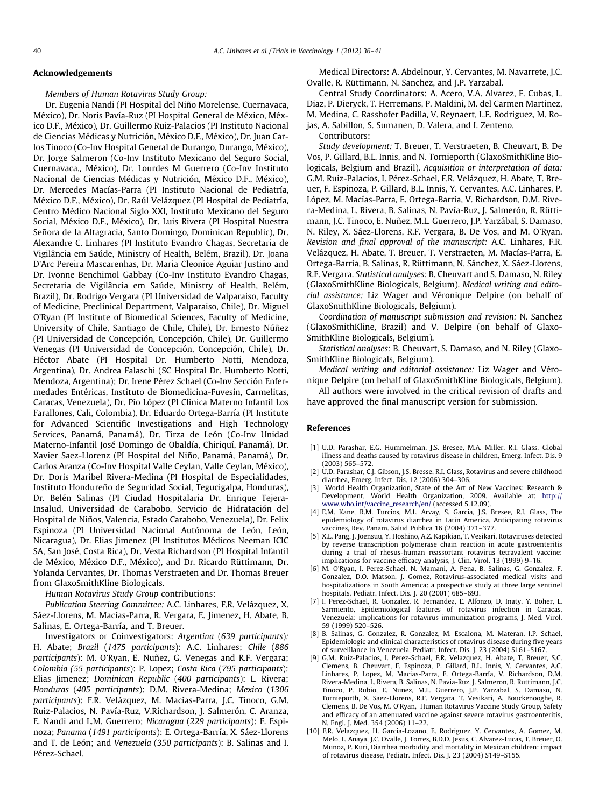#### <span id="page-4-0"></span>Acknowledgements

Members of Human Rotavirus Study Group:

Dr. Eugenia Nandi (PI Hospital del Niño Morelense, Cuernavaca, México), Dr. Noris Pavía-Ruz (PI Hospital General de México, México D.F., México), Dr. Guillermo Ruiz-Palacios (PI Instituto Nacional de Ciencias Médicas y Nutrición, México D.F., México), Dr. Juan Carlos Tinoco (Co-Inv Hospital General de Durango, Durango, México), Dr. Jorge Salmeron (Co-Inv Instituto Mexicano del Seguro Social, Cuernavaca., México), Dr. Lourdes M Guerrero (Co-Inv Instituto Nacional de Ciencias Médicas y Nutrición, México D.F., México), Dr. Mercedes Macías-Parra (PI Instituto Nacional de Pediatría, México D.F., México), Dr. Raúl Velázquez (PI Hospital de Pediatría, Centro Médico Nacional Siglo XXI, Instituto Mexicano del Seguro Social, México D.F., México), Dr. Luis Rivera (PI Hospital Nuestra Señora de la Altagracia, Santo Domingo, Dominican Republic), Dr. Alexandre C. Linhares (PI Instituto Evandro Chagas, Secretaria de Vigilância em Saúde, Ministry of Health, Belém, Brazil), Dr. Joana D'Arc Pereira Mascarenhas, Dr. Maria Cleonice Aguiar Justino and Dr. Ivonne Benchimol Gabbay (Co-Inv Instituto Evandro Chagas, Secretaria de Vigilância em Saúde, Ministry of Health, Belém, Brazil), Dr. Rodrigo Vergara (PI Universidad de Valparaiso, Faculty of Medicine, Preclinical Department, Valparaiso, Chile), Dr. Miguel O'Ryan (PI Institute of Biomedical Sciences, Faculty of Medicine, University of Chile, Santiago de Chile, Chile), Dr. Ernesto Núñez (PI Universidad de Concepción, Concepción, Chile), Dr. Guillermo Venegas (PI Universidad de Concepción, Concepción, Chile), Dr. Héctor Abate (PI Hospital Dr. Humberto Notti, Mendoza, Argentina), Dr. Andrea Falaschi (SC Hospital Dr. Humberto Notti, Mendoza, Argentina); Dr. Irene Pérez Schael (Co-Inv Sección Enfermedades Entéricas, Instituto de Biomedicina-Fuvesin, Carmelitas, Caracas, Venezuela), Dr. Pío López (PI Clínica Materno Infantil Los Farallones, Cali, Colombia), Dr. Eduardo Ortega-Barría (PI Institute for Advanced Scientific Investigations and High Technology Services, Panamá, Panamá), Dr. Tirza de León (Co-Inv Unidad Materno-Infantil José Domingo de Obaldía, Chiriquí, Panamá), Dr. Xavier Saez-Llorenz (PI Hospital del Niño, Panamá, Panamá), Dr. Carlos Aranza (Co-Inv Hospital Valle Ceylan, Valle Ceylan, México), Dr. Doris Maribel Rivera-Medina (PI Hospital de Especialidades, Instituto Hondureño de Seguridad Social, Tegucigalpa, Honduras), Dr. Belén Salinas (PI Ciudad Hospitalaria Dr. Enrique Tejera-Insalud, Universidad de Carabobo, Servicio de Hidratación del Hospital de Niños, Valencia, Estado Carabobo, Venezuela), Dr. Felix Espinoza (PI Universidad Nacional Autónoma de León, León, Nicaragua), Dr. Elias Jimenez (PI Institutos Médicos Neeman ICIC SA, San José, Costa Rica), Dr. Vesta Richardson (PI Hospital Infantil de México, México D.F., México), and Dr. Ricardo Rüttimann, Dr. Yolanda Cervantes, Dr. Thomas Verstraeten and Dr. Thomas Breuer from GlaxoSmithKline Biologicals.

Human Rotavirus Study Group contributions:

Publication Steering Committee: A.C. Linhares, F.R. Velázquez, X. Sáez-Llorens, M. Macías-Parra, R. Vergara, E. Jimenez, H. Abate, B. Salinas, E. Ortega-Barría, and T. Breuer.

Investigators or Coinvestigators: Argentina (639 participants): H. Abate; Brazil (1475 participants): A.C. Linhares; Chile (886 participants): M. O'Ryan, E. Nuñez, G. Venegas and R.F. Vergara; Colombia (55 participants): P. Lopez; Costa Rica (795 participants): Elias Jimenez; Dominican Republic (400 participants): L. Rivera; Honduras (405 participants): D.M. Rivera-Medina; Mexico (1306 participants): F.R. Velázquez, M. Macías-Parra, J.C. Tinoco, G.M. Ruiz-Palacios, N. Pavía-Ruz, V.Richardson, J. Salmerón, C. Aranza, E. Nandi and L.M. Guerrero; Nicaragua (229 participants): F. Espinoza; Panama (1491 participants): E. Ortega-Barría, X. Sáez-Llorens and T. de León; and Venezuela (350 participants): B. Salinas and I. Pérez-Schael.

Medical Directors: A. Abdelnour, Y. Cervantes, M. Navarrete, J.C. Ovalle, R. Rüttimann, N. Sanchez, and J.P. Yarzabal.

Central Study Coordinators: A. Acero, V.A. Alvarez, F. Cubas, L. Diaz, P. Dieryck, T. Herremans, P. Maldini, M. del Carmen Martinez, M. Medina, C. Rasshofer Padilla, V. Reynaert, L.E. Rodriguez, M. Rojas, A. Sabillon, S. Sumanen, D. Valera, and I. Zenteno.

Contributors:

Study development: T. Breuer, T. Verstraeten, B. Cheuvart, B. De Vos, P. Gillard, B.L. Innis, and N. Tornieporth (GlaxoSmithKline Biologicals, Belgium and Brazil). Acquisition or interpretation of data: G.M. Ruiz-Palacios, I. Pérez-Schael, F.R. Velázquez, H. Abate, T. Breuer, F. Espinoza, P. Gillard, B.L. Innis, Y. Cervantes, A.C. Linhares, P. López, M. Macías-Parra, E. Ortega-Barría, V. Richardson, D.M. Rivera-Medina, L. Rivera, B. Salinas, N. Pavía-Ruz, J. Salmerón, R. Rüttimann, J.C. Tinoco, E. Nuñez, M.L. Guerrero, J.P. Yarzábal, S. Damaso, N. Riley, X. Sáez-Llorens, R.F. Vergara, B. De Vos, and M. O'Ryan. Revision and final approval of the manuscript: A.C. Linhares, F.R. Velázquez, H. Abate, T. Breuer, T. Verstraeten, M. Macías-Parra, E. Ortega-Barría, B. Salinas, R. Rüttimann, N. Sánchez, X. Sáez-Llorens, R.F. Vergara. Statistical analyses: B. Cheuvart and S. Damaso, N. Riley (GlaxoSmithKline Biologicals, Belgium). Medical writing and editorial assistance: Liz Wager and Véronique Delpire (on behalf of GlaxoSmithKline Biologicals, Belgium).

Coordination of manuscript submission and revision: N. Sanchez (GlaxoSmithKline, Brazil) and V. Delpire (on behalf of Glaxo-SmithKline Biologicals, Belgium).

Statistical analyses: B. Cheuvart, S. Damaso, and N. Riley (Glaxo-SmithKline Biologicals, Belgium).

Medical writing and editorial assistance: Liz Wager and Véronique Delpire (on behalf of GlaxoSmithKline Biologicals, Belgium).

All authors were involved in the critical revision of drafts and have approved the final manuscript version for submission.

## References

- [1] U.D. Parashar, E.G. Hummelman, J.S. Bresee, M.A. Miller, R.I. Glass, Global illness and deaths caused by rotavirus disease in children, Emerg. Infect. Dis. 9 (2003) 565–572.
- [2] U.D. Parashar, C.J. Gibson, J.S. Bresse, R.I. Glass, Rotavirus and severe childhood diarrhea, Emerg. Infect. Dis. 12 (2006) 304–306.
- [3] World Health Organization, State of the Art of New Vaccines: Research & Development, World Health Organization, 2009. Available at: [http://](http://www.who.int/vaccine_research/en/) [www.who.int/vaccine\\_research/en/](http://www.who.int/vaccine_research/en/) (accessed 5.12.09).
- [4] E.M. Kane, R.M. Turcios, M.L. Arvay, S. Garcia, J.S. Bresee, R.I. Glass, The epidemiology of rotavirus diarrhea in Latin America. Anticipating rotavirus vaccines, Rev. Panam. Salud Publica 16 (2004) 371–377.
- [5] X.L. Pang, J. Joensuu, Y. Hoshino, A.Z. Kapikian, T. Vesikari, Rotaviruses detected by reverse transcription polymerase chain reaction in acute gastroenteritis during a trial of rhesus-human reassortant rotavirus tetravalent vaccine: implications for vaccine efficacy analysis, J. Clin. Virol. 13 (1999) 9–16.
- [6] M. O'Ryan, I. Perez-Schael, N. Mamani, A. Pena, B. Salinas, G. Gonzalez, F. Gonzalez, D.O. Matson, J. Gomez, Rotavirus-associated medical visits and hospitalizations in South America: a prospective study at three large sentinel hospitals, Pediatr. Infect. Dis. J. 20 (2001) 685–693.
- [7] I. Perez-Schael, R. Gonzalez, R. Fernandez, E. Alfonzo, D. Inaty, Y. Boher, L. Sarmiento, Epidemiological features of rotavirus infection in Caracas, Venezuela: implications for rotavirus immunization programs, J. Med. Virol. 59 (1999) 520–526.
- B. Salinas, G. Gonzalez, R. Gonzalez, M. Escalona, M. Materan, I.P. Schael, Epidemiologic and clinical characteristics of rotavirus disease during five years of surveillance in Venezuela, Pediatr. Infect. Dis. J. 23 (2004) S161–S167.
- [9] G.M. Ruiz-Palacios, I. Perez-Schael, F.R. Velazquez, H. Abate, T. Breuer, S.C. Clemens, B. Cheuvart, F. Espinoza, P. Gillard, B.L. Innis, Y. Cervantes, A.C. Linhares, P. Lopez, M. Macias-Parra, E. Ortega-Barría, V. Richardson, D.M. Rivera-Medina, L. Rivera, B. Salinas, N. Pavia-Ruz, J. Salmeron, R. Ruttimann, J.C. Tinoco, P. Rubio, E. Nunez, M.L. Guerrero, J.P. Yarzabal, S. Damaso, N. Tornieporth, X. Saez-Llorens, R.F. Vergara, T. Vesikari, A. Bouckenooghe, R. Clemens, B. De Vos, M. O'Ryan, Human Rotavirus Vaccine Study Group, Safety and efficacy of an attenuated vaccine against severe rotavirus gastroenteritis, N. Engl. J. Med. 354 (2006) 11–22.
- [10] F.R. Velazquez, H. Garcia-Lozano, E. Rodriguez, Y. Cervantes, A. Gomez, M. Melo, L. Anaya, J.C. Ovalle, J. Torres, B.D.D. Jesus, C. Alvarez-Lucas, T. Breuer, O. Munoz, P. Kuri, Diarrhea morbidity and mortality in Mexican children: impact of rotavirus disease, Pediatr. Infect. Dis. J. 23 (2004) S149–S155.